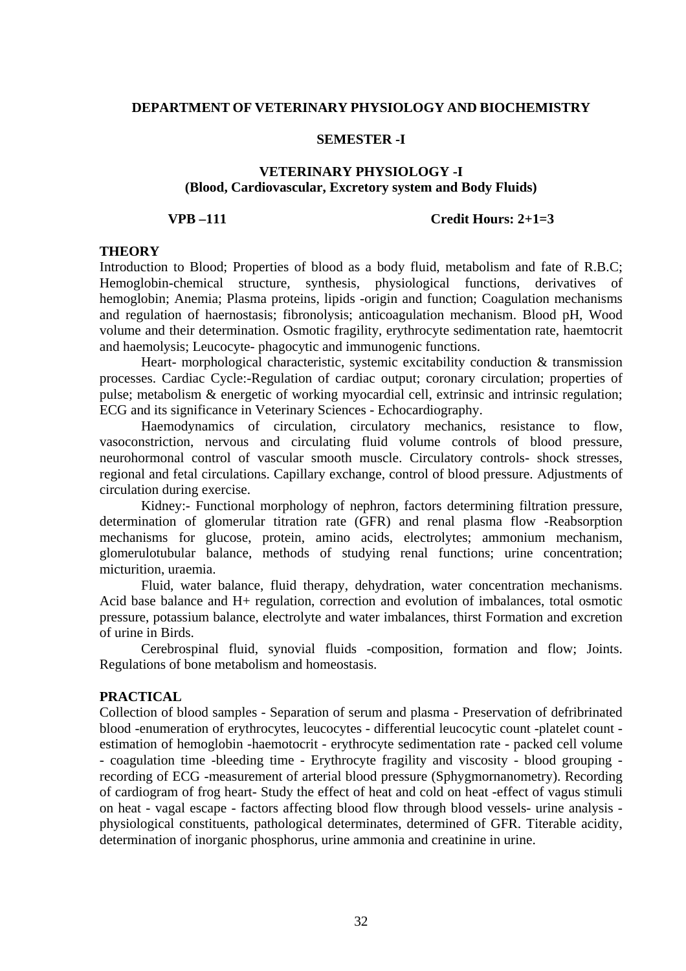### **SEMESTER -I**

### **VETERINARY PHYSIOLOGY -I (Blood, Cardiovascular, Excretory system and Body Fluids)**

### **VPB –111 Credit Hours: 2+1=3**

### **THEORY**

Introduction to Blood; Properties of blood as a body fluid, metabolism and fate of R.B.C; Hemoglobin-chemical structure, synthesis, physiological functions, derivatives of hemoglobin; Anemia; Plasma proteins, lipids -origin and function; Coagulation mechanisms and regulation of haernostasis; fibronolysis; anticoagulation mechanism. Blood pH, Wood volume and their determination. Osmotic fragility, erythrocyte sedimentation rate, haemtocrit and haemolysis; Leucocyte- phagocytic and immunogenic functions.

Heart- morphological characteristic, systemic excitability conduction & transmission processes. Cardiac Cycle:-Regulation of cardiac output; coronary circulation; properties of pulse; metabolism & energetic of working myocardial cell, extrinsic and intrinsic regulation; ECG and its significance in Veterinary Sciences - Echocardiography.

Haemodynamics of circulation, circulatory mechanics, resistance to flow, vasoconstriction, nervous and circulating fluid volume controls of blood pressure, neurohormonal control of vascular smooth muscle. Circulatory controls- shock stresses, regional and fetal circulations. Capillary exchange, control of blood pressure. Adjustments of circulation during exercise.

Kidney:- Functional morphology of nephron, factors determining filtration pressure, determination of glomerular titration rate (GFR) and renal plasma flow -Reabsorption mechanisms for glucose, protein, amino acids, electrolytes; ammonium mechanism, glomerulotubular balance, methods of studying renal functions; urine concentration; micturition, uraemia.

Fluid, water balance, fluid therapy, dehydration, water concentration mechanisms. Acid base balance and H+ regulation, correction and evolution of imbalances, total osmotic pressure, potassium balance, electrolyte and water imbalances, thirst Formation and excretion of urine in Birds.

Cerebrospinal fluid, synovial fluids -composition, formation and flow; Joints. Regulations of bone metabolism and homeostasis.

### **PRACTICAL**

Collection of blood samples - Separation of serum and plasma - Preservation of defribrinated blood -enumeration of erythrocytes, leucocytes - differential leucocytic count -platelet count estimation of hemoglobin -haemotocrit - erythrocyte sedimentation rate - packed cell volume - coagulation time -bleeding time - Erythrocyte fragility and viscosity - blood grouping recording of ECG -measurement of arterial blood pressure (Sphygmornanometry). Recording of cardiogram of frog heart- Study the effect of heat and cold on heat -effect of vagus stimuli on heat - vagal escape - factors affecting blood flow through blood vessels- urine analysis physiological constituents, pathological determinates, determined of GFR. Titerable acidity, determination of inorganic phosphorus, urine ammonia and creatinine in urine.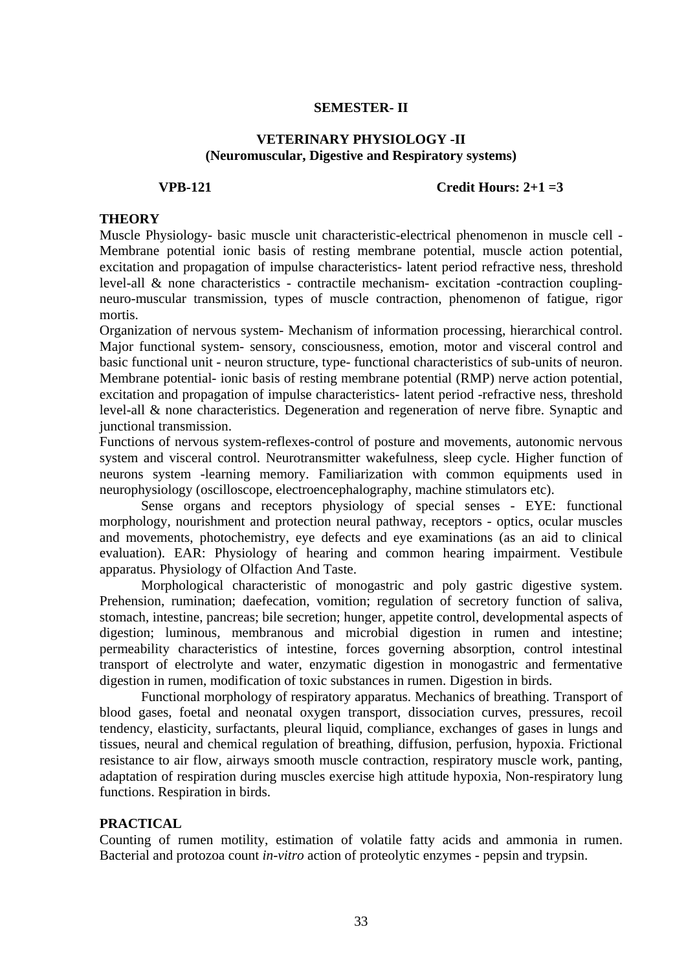### **SEMESTER- II**

### **VETERINARY PHYSIOLOGY -II (Neuromuscular, Digestive and Respiratory systems)**

### **VPB-121 Credit Hours: 2+1 =3**

### **THEORY**

Muscle Physiology- basic muscle unit characteristic-electrical phenomenon in muscle cell - Membrane potential ionic basis of resting membrane potential, muscle action potential, excitation and propagation of impulse characteristics- latent period refractive ness, threshold level-all & none characteristics - contractile mechanism- excitation -contraction couplingneuro-muscular transmission, types of muscle contraction, phenomenon of fatigue, rigor mortis.

Organization of nervous system- Mechanism of information processing, hierarchical control. Major functional system- sensory, consciousness, emotion, motor and visceral control and basic functional unit - neuron structure, type- functional characteristics of sub-units of neuron. Membrane potential- ionic basis of resting membrane potential (RMP) nerve action potential, excitation and propagation of impulse characteristics- latent period -refractive ness, threshold level-all & none characteristics. Degeneration and regeneration of nerve fibre. Synaptic and junctional transmission.

Functions of nervous system-reflexes-control of posture and movements, autonomic nervous system and visceral control. Neurotransmitter wakefulness, sleep cycle. Higher function of neurons system -learning memory. Familiarization with common equipments used in neurophysiology (oscilloscope, electroencephalography, machine stimulators etc).

Sense organs and receptors physiology of special senses - EYE: functional morphology, nourishment and protection neural pathway, receptors - optics, ocular muscles and movements, photochemistry, eye defects and eye examinations (as an aid to clinical evaluation). EAR: Physiology of hearing and common hearing impairment. Vestibule apparatus. Physiology of Olfaction And Taste.

 Morphological characteristic of monogastric and poly gastric digestive system. Prehension, rumination; daefecation, vomition; regulation of secretory function of saliva, stomach, intestine, pancreas; bile secretion; hunger, appetite control, developmental aspects of digestion; luminous, membranous and microbial digestion in rumen and intestine; permeability characteristics of intestine, forces governing absorption, control intestinal transport of electrolyte and water, enzymatic digestion in monogastric and fermentative digestion in rumen, modification of toxic substances in rumen. Digestion in birds.

Functional morphology of respiratory apparatus. Mechanics of breathing. Transport of blood gases, foetal and neonatal oxygen transport, dissociation curves, pressures, recoil tendency, elasticity, surfactants, pleural liquid, compliance, exchanges of gases in lungs and tissues, neural and chemical regulation of breathing, diffusion, perfusion, hypoxia. Frictional resistance to air flow, airways smooth muscle contraction, respiratory muscle work, panting, adaptation of respiration during muscles exercise high attitude hypoxia, Non-respiratory lung functions. Respiration in birds.

## **PRACTICAL**

Counting of rumen motility, estimation of volatile fatty acids and ammonia in rumen. Bacterial and protozoa count *in-vitro* action of proteolytic enzymes - pepsin and trypsin.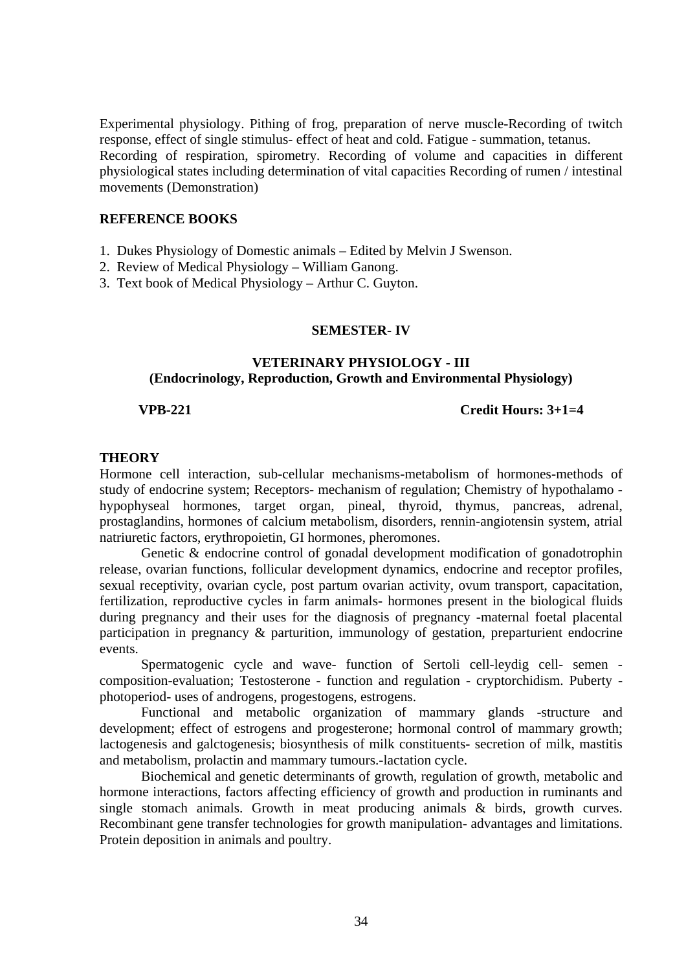Experimental physiology. Pithing of frog, preparation of nerve muscle-Recording of twitch response, effect of single stimulus- effect of heat and cold. Fatigue - summation, tetanus. Recording of respiration, spirometry. Recording of volume and capacities in different physiological states including determination of vital capacities Recording of rumen / intestinal movements (Demonstration)

### **REFERENCE BOOKS**

- 1. Dukes Physiology of Domestic animals Edited by Melvin J Swenson.
- 2. Review of Medical Physiology William Ganong.
- 3. Text book of Medical Physiology Arthur C. Guyton.

### **SEMESTER- IV**

### **VETERINARY PHYSIOLOGY - III (Endocrinology, Reproduction, Growth and Environmental Physiology)**

**VPB-221 Credit Hours: 3+1=4** 

### **THEORY**

Hormone cell interaction, sub-cellular mechanisms-metabolism of hormones-methods of study of endocrine system; Receptors- mechanism of regulation; Chemistry of hypothalamo hypophyseal hormones, target organ, pineal, thyroid, thymus, pancreas, adrenal, prostaglandins, hormones of calcium metabolism, disorders, rennin-angiotensin system, atrial natriuretic factors, erythropoietin, GI hormones, pheromones.

Genetic & endocrine control of gonadal development modification of gonadotrophin release, ovarian functions, follicular development dynamics, endocrine and receptor profiles, sexual receptivity, ovarian cycle, post partum ovarian activity, ovum transport, capacitation, fertilization, reproductive cycles in farm animals- hormones present in the biological fluids during pregnancy and their uses for the diagnosis of pregnancy -maternal foetal placental participation in pregnancy & parturition, immunology of gestation, preparturient endocrine events.

Spermatogenic cycle and wave- function of Sertoli cell-leydig cell- semen composition-evaluation; Testosterone - function and regulation - cryptorchidism. Puberty photoperiod- uses of androgens, progestogens, estrogens.

 Functional and metabolic organization of mammary glands -structure and development; effect of estrogens and progesterone; hormonal control of mammary growth; lactogenesis and galctogenesis; biosynthesis of milk constituents- secretion of milk, mastitis and metabolism, prolactin and mammary tumours.-lactation cycle.

Biochemical and genetic determinants of growth, regulation of growth, metabolic and hormone interactions, factors affecting efficiency of growth and production in ruminants and single stomach animals. Growth in meat producing animals & birds, growth curves. Recombinant gene transfer technologies for growth manipulation- advantages and limitations. Protein deposition in animals and poultry.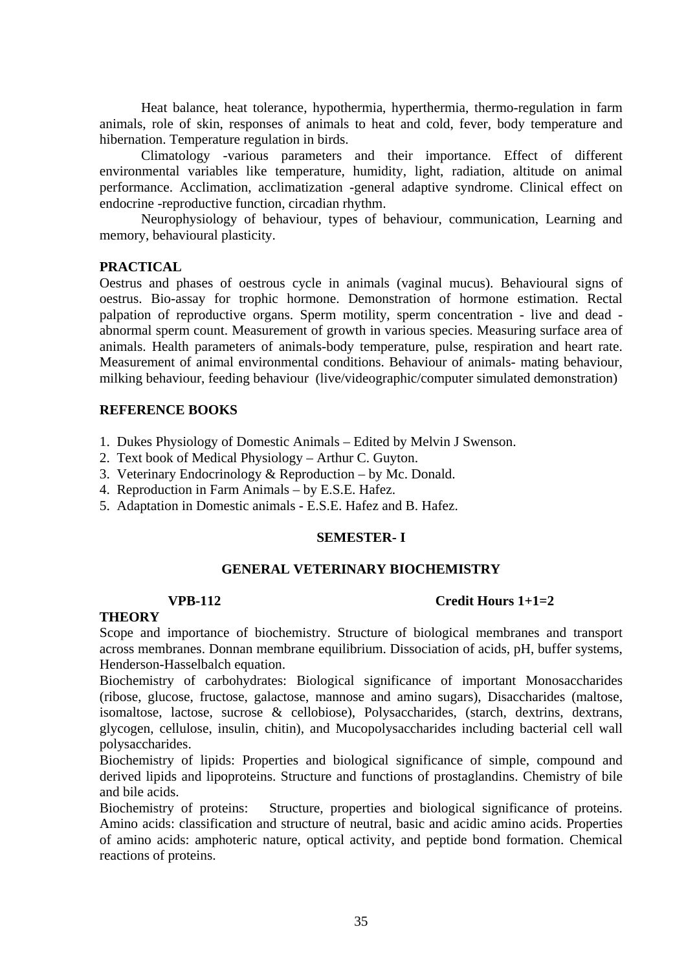Heat balance, heat tolerance, hypothermia, hyperthermia, thermo-regulation in farm animals, role of skin, responses of animals to heat and cold, fever, body temperature and hibernation. Temperature regulation in birds.

Climatology -various parameters and their importance. Effect of different environmental variables like temperature, humidity, light, radiation, altitude on animal performance. Acclimation, acclimatization -general adaptive syndrome. Clinical effect on endocrine -reproductive function, circadian rhythm.

Neurophysiology of behaviour, types of behaviour, communication, Learning and memory, behavioural plasticity.

# **PRACTICAL**

Oestrus and phases of oestrous cycle in animals (vaginal mucus). Behavioural signs of oestrus. Bio-assay for trophic hormone. Demonstration of hormone estimation. Rectal palpation of reproductive organs. Sperm motility, sperm concentration - live and dead abnormal sperm count. Measurement of growth in various species. Measuring surface area of animals. Health parameters of animals-body temperature, pulse, respiration and heart rate. Measurement of animal environmental conditions. Behaviour of animals- mating behaviour, milking behaviour, feeding behaviour (live/videographic/computer simulated demonstration)

# **REFERENCE BOOKS**

- 1. Dukes Physiology of Domestic Animals Edited by Melvin J Swenson.
- 2. Text book of Medical Physiology Arthur C. Guyton.
- 3. Veterinary Endocrinology & Reproduction by Mc. Donald.
- 4. Reproduction in Farm Animals by E.S.E. Hafez.
- 5. Adaptation in Domestic animals E.S.E. Hafez and B. Hafez.

## **SEMESTER- I**

## **GENERAL VETERINARY BIOCHEMISTRY**

## **VPB-112 Credit Hours 1+1=2**

## **THEORY**

Scope and importance of biochemistry. Structure of biological membranes and transport across membranes. Donnan membrane equilibrium. Dissociation of acids, pH, buffer systems, Henderson-Hasselbalch equation.

Biochemistry of carbohydrates: Biological significance of important Monosaccharides (ribose, glucose, fructose, galactose, mannose and amino sugars), Disaccharides (maltose, isomaltose, lactose, sucrose & cellobiose), Polysaccharides, (starch, dextrins, dextrans, glycogen, cellulose, insulin, chitin), and Mucopolysaccharides including bacterial cell wall polysaccharides.

Biochemistry of lipids: Properties and biological significance of simple, compound and derived lipids and lipoproteins. Structure and functions of prostaglandins. Chemistry of bile and bile acids.

Biochemistry of proteins: Structure, properties and biological significance of proteins. Amino acids: classification and structure of neutral, basic and acidic amino acids. Properties of amino acids: amphoteric nature, optical activity, and peptide bond formation. Chemical reactions of proteins.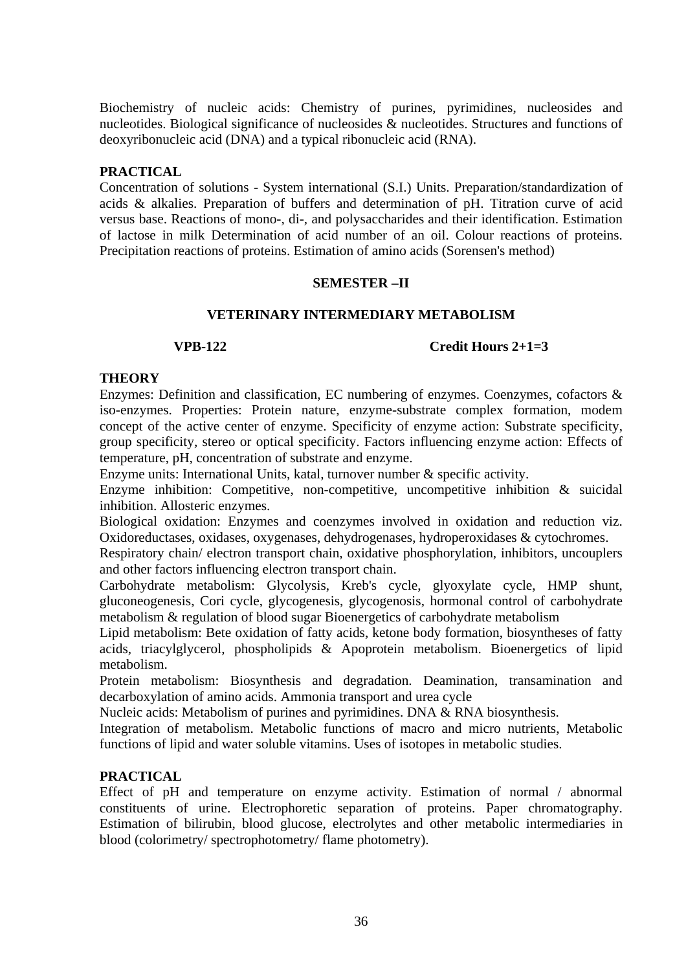Biochemistry of nucleic acids: Chemistry of purines, pyrimidines, nucleosides and nucleotides. Biological significance of nucleosides & nucleotides. Structures and functions of deoxyribonucleic acid (DNA) and a typical ribonucleic acid (RNA).

## **PRACTICAL**

Concentration of solutions - System international (S.I.) Units. Preparation/standardization of acids & alkalies. Preparation of buffers and determination of pH. Titration curve of acid versus base. Reactions of mono-, di-, and polysaccharides and their identification. Estimation of lactose in milk Determination of acid number of an oil. Colour reactions of proteins. Precipitation reactions of proteins. Estimation of amino acids (Sorensen's method)

## **SEMESTER –II**

## **VETERINARY INTERMEDIARY METABOLISM**

## **VPB-122 Credit Hours 2+1=3**

## **THEORY**

Enzymes: Definition and classification, EC numbering of enzymes. Coenzymes, cofactors & iso-enzymes. Properties: Protein nature, enzyme-substrate complex formation, modem concept of the active center of enzyme. Specificity of enzyme action: Substrate specificity, group specificity, stereo or optical specificity. Factors influencing enzyme action: Effects of temperature, pH, concentration of substrate and enzyme.

Enzyme units: International Units, katal, turnover number & specific activity.

Enzyme inhibition: Competitive, non-competitive, uncompetitive inhibition & suicidal inhibition. Allosteric enzymes.

Biological oxidation: Enzymes and coenzymes involved in oxidation and reduction viz. Oxidoreductases, oxidases, oxygenases, dehydrogenases, hydroperoxidases & cytochromes.

Respiratory chain/ electron transport chain, oxidative phosphorylation, inhibitors, uncouplers and other factors influencing electron transport chain.

Carbohydrate metabolism: Glycolysis, Kreb's cycle, glyoxylate cycle, HMP shunt, gluconeogenesis, Cori cycle, glycogenesis, glycogenosis, hormonal control of carbohydrate metabolism & regulation of blood sugar Bioenergetics of carbohydrate metabolism

Lipid metabolism: Bete oxidation of fatty acids, ketone body formation, biosyntheses of fatty acids, triacylglycerol, phospholipids & Apoprotein metabolism. Bioenergetics of lipid metabolism.

Protein metabolism: Biosynthesis and degradation. Deamination, transamination and decarboxylation of amino acids. Ammonia transport and urea cycle

Nucleic acids: Metabolism of purines and pyrimidines. DNA & RNA biosynthesis.

Integration of metabolism. Metabolic functions of macro and micro nutrients, Metabolic functions of lipid and water soluble vitamins. Uses of isotopes in metabolic studies.

## **PRACTICAL**

Effect of pH and temperature on enzyme activity. Estimation of normal / abnormal constituents of urine. Electrophoretic separation of proteins. Paper chromatography. Estimation of bilirubin, blood glucose, electrolytes and other metabolic intermediaries in blood (colorimetry/ spectrophotometry/ flame photometry).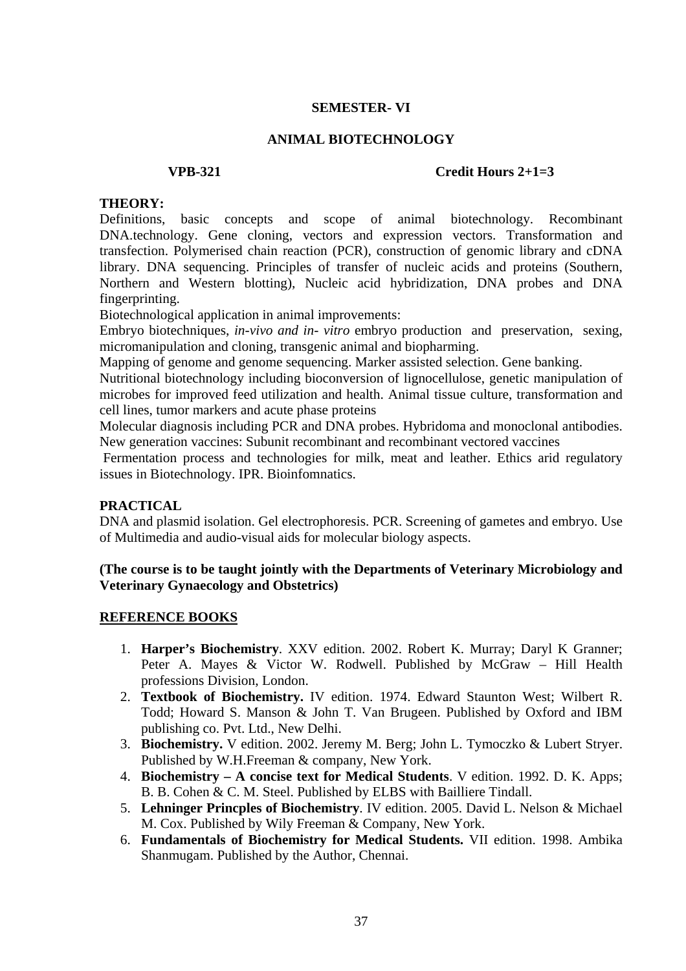## **SEMESTER- VI**

### **ANIMAL BIOTECHNOLOGY**

### **VPB-321 Credit Hours 2+1=3**

### **THEORY:**

Definitions, basic concepts and scope of animal biotechnology. Recombinant DNA.technology. Gene cloning, vectors and expression vectors. Transformation and transfection. Polymerised chain reaction (PCR), construction of genomic library and cDNA library. DNA sequencing. Principles of transfer of nucleic acids and proteins (Southern, Northern and Western blotting), Nucleic acid hybridization, DNA probes and DNA fingerprinting.

Biotechnological application in animal improvements:

Embryo biotechniques, *in-vivo and in- vitro* embryo production and preservation, sexing, micromanipulation and cloning, transgenic animal and biopharming.

Mapping of genome and genome sequencing. Marker assisted selection. Gene banking.

Nutritional biotechnology including bioconversion of lignocellulose, genetic manipulation of microbes for improved feed utilization and health. Animal tissue culture, transformation and cell lines, tumor markers and acute phase proteins

Molecular diagnosis including PCR and DNA probes. Hybridoma and monoclonal antibodies. New generation vaccines: Subunit recombinant and recombinant vectored vaccines

Fermentation process and technologies for milk, meat and leather. Ethics arid regulatory issues in Biotechnology. IPR. Bioinfomnatics.

### **PRACTICAL**

DNA and plasmid isolation. Gel electrophoresis. PCR. Screening of gametes and embryo. Use of Multimedia and audio-visual aids for molecular biology aspects.

### **(The course is to be taught jointly with the Departments of Veterinary Microbiology and Veterinary Gynaecology and Obstetrics)**

### **REFERENCE BOOKS**

- 1. **Harper's Biochemistry**. XXV edition. 2002. Robert K. Murray; Daryl K Granner; Peter A. Mayes & Victor W. Rodwell. Published by McGraw – Hill Health professions Division, London.
- 2. **Textbook of Biochemistry.** IV edition. 1974. Edward Staunton West; Wilbert R. Todd; Howard S. Manson & John T. Van Brugeen. Published by Oxford and IBM publishing co. Pvt. Ltd., New Delhi.
- 3. **Biochemistry.** V edition. 2002. Jeremy M. Berg; John L. Tymoczko & Lubert Stryer. Published by W.H.Freeman & company, New York.
- 4. **Biochemistry A concise text for Medical Students**. V edition. 1992. D. K. Apps; B. B. Cohen & C. M. Steel. Published by ELBS with Bailliere Tindall.
- 5. **Lehninger Princples of Biochemistry**. IV edition. 2005. David L. Nelson & Michael M. Cox. Published by Wily Freeman & Company, New York.
- 6. **Fundamentals of Biochemistry for Medical Students.** VII edition. 1998. Ambika Shanmugam. Published by the Author, Chennai.